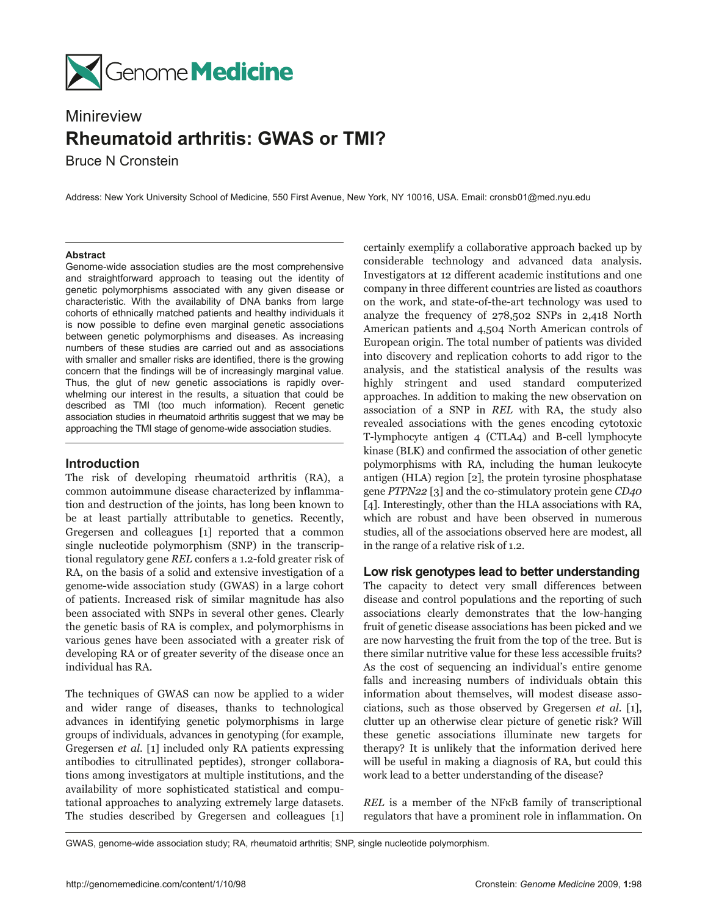

# Minireview **Rheumatoid arthritis: GWAS or TMI?**

Bruce N Cronstein

Address: New York University School of Medicine, 550 First Avenue, New York, NY 10016, USA. Email: cronsb01@med.nyu.edu

#### **Abstract**

Genome-wide association studies are the most comprehensive and straightforward approach to teasing out the identity of genetic polymorphisms associated with any given disease or characteristic. With the availability of DNA banks from large cohorts of ethnically matched patients and healthy individuals it is now possible to define even marginal genetic associations between genetic polymorphisms and diseases. As increasing numbers of these studies are carried out and as associations with smaller and smaller risks are identified, there is the growing concern that the findings will be of increasingly marginal value. Thus, the glut of new genetic associations is rapidly overwhelming our interest in the results, a situation that could be described as TMI (too much information). Recent genetic association studies in rheumatoid arthritis suggest that we may be approaching the TMI stage of genome-wide association studies.

# **Introduction**

The risk of developing rheumatoid arthritis (RA), a common autoimmune disease characterized by inflammation and destruction of the joints, has long been known to be at least partially attributable to genetics. Recently, Gregersen and colleagues [1] reported that a common single nucleotide polymorphism (SNP) in the transcriptional regulatory gene *REL* confers a 1.2-fold greater risk of RA, on the basis of a solid and extensive investigation of a genome-wide association study (GWAS) in a large cohort of patients. Increased risk of similar magnitude has also been associated with SNPs in several other genes. Clearly the genetic basis of RA is complex, and polymorphisms in various genes have been associated with a greater risk of developing RA or of greater severity of the disease once an individual has RA.

The techniques of GWAS can now be applied to a wider and wider range of diseases, thanks to technological advances in identifying genetic polymorphisms in large groups of individuals, advances in genotyping (for example, Gregersen *et al.* [1] included only RA patients expressing antibodies to citrullinated peptides), stronger collaborations among investigators at multiple institutions, and the availability of more sophisticated statistical and computational approaches to analyzing extremely large datasets. The studies described by Gregersen and colleagues [1]

certainly exemplify a collaborative approach backed up by considerable technology and advanced data analysis. Investigators at 12 different academic institutions and one company in three different countries are listed as coauthors on the work, and state-of-the-art technology was used to analyze the frequency of 278,502 SNPs in 2,418 North American patients and 4,504 North American controls of European origin. The total number of patients was divided into discovery and replication cohorts to add rigor to the analysis, and the statistical analysis of the results was highly stringent and used standard computerized approaches. In addition to making the new observation on association of a SNP in *REL* with RA, the study also revealed associations with the genes encoding cytotoxic T-lymphocyte antigen 4 (CTLA4) and B-cell lymphocyte kinase (BLK) and confirmed the association of other genetic polymorphisms with RA, including the human leukocyte antigen (HLA) region [2], the protein tyrosine phosphatase gene *PTPN22* [3] and the co-stimulatory protein gene *CD40* [4]. Interestingly, other than the HLA associations with RA, which are robust and have been observed in numerous studies, all of the associations observed here are modest, all in the range of a relative risk of 1.2.

## **Low risk genotypes lead to better understanding**

The capacity to detect very small differences between disease and control populations and the reporting of such associations clearly demonstrates that the low-hanging fruit of genetic disease associations has been picked and we are now harvesting the fruit from the top of the tree. But is there similar nutritive value for these less accessible fruits? As the cost of sequencing an individual's entire genome falls and increasing numbers of individuals obtain this information about themselves, will modest disease associations, such as those observed by Gregersen *et al*. [1], clutter up an otherwise clear picture of genetic risk? Will these genetic associations illuminate new targets for therapy? It is unlikely that the information derived here will be useful in making a diagnosis of RA, but could this work lead to a better understanding of the disease?

*REL* is a member of the NFκB family of transcriptional regulators that have a prominent role in inflammation. On

GWAS, genome-wide association study; RA, rheumatoid arthritis; SNP, single nucleotide polymorphism.